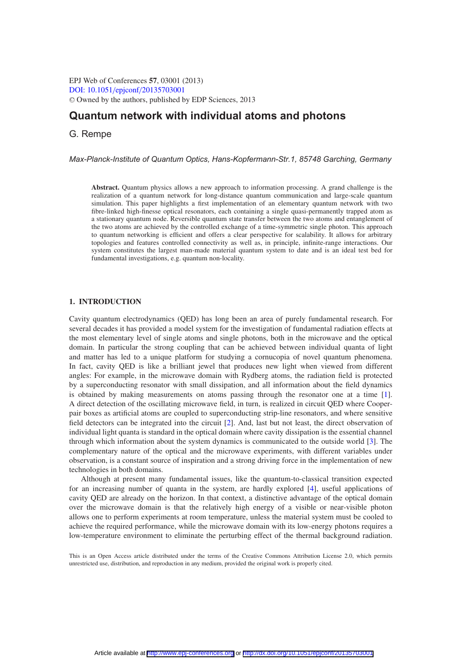EPJ Web of Conferences **57**, 03001 (2013) [DOI: 10.1051](http://dx.doi.org/10.1051/epjconf/20135703001)/epjconf/20135703001 <sup>C</sup> Owned by the authors, published by EDP Sciences, 2013

# **Quantum network with individual atoms and photons**

G. Rempe

*Max-Planck-Institute of Quantum Optics, Hans-Kopfermann-Str.1, 85748 Garching, Germany*

**Abstract.** Quantum physics allows a new approach to information processing. A grand challenge is the realization of a quantum network for long-distance quantum communication and large-scale quantum simulation. This paper highlights a first implementation of an elementary quantum network with two fibre-linked high-finesse optical resonators, each containing a single quasi-permanently trapped atom as a stationary quantum node. Reversible quantum state transfer between the two atoms and entanglement of the two atoms are achieved by the controlled exchange of a time-symmetric single photon. This approach to quantum networking is efficient and offers a clear perspective for scalability. It allows for arbitrary topologies and features controlled connectivity as well as, in principle, infinite-range interactions. Our system constitutes the largest man-made material quantum system to date and is an ideal test bed for fundamental investigations, e.g. quantum non-locality.

### **1. INTRODUCTION**

Cavity quantum electrodynamics (QED) has long been an area of purely fundamental research. For several decades it has provided a model system for the investigation of fundamental radiation effects at the most elementary level of single atoms and single photons, both in the microwave and the optical domain. In particular the strong coupling that can be achieved between individual quanta of light and matter has led to a unique platform for studying a cornucopia of novel quantum phenomena. In fact, cavity QED is like a brilliant jewel that produces new light when viewed from different angles: For example, in the microwave domain with Rydberg atoms, the radiation field is protected by a superconducting resonator with small dissipation, and all information about the field dynamics is obtained by making measurements on atoms passing through the resonator one at a time [\[1](#page-6-0)]. A direct detection of the oscillating microwave field, in turn, is realized in circuit QED where Cooperpair boxes as artificial atoms are coupled to superconducting strip-line resonators, and where sensitive field detectors can be integrated into the circuit [\[2](#page-6-1)]. And, last but not least, the direct observation of individual light quanta is standard in the optical domain where cavity dissipation is the essential channel through which information about the system dynamics is communicated to the outside world [\[3\]](#page-6-2). The complementary nature of the optical and the microwave experiments, with different variables under observation, is a constant source of inspiration and a strong driving force in the implementation of new technologies in both domains.

Although at present many fundamental issues, like the quantum-to-classical transition expected for an increasing number of quanta in the system, are hardly explored [\[4](#page-6-3)], useful applications of cavity QED are already on the horizon. In that context, a distinctive advantage of the optical domain over the microwave domain is that the relatively high energy of a visible or near-visible photon allows one to perform experiments at room temperature, unless the material system must be cooled to achieve the required performance, while the microwave domain with its low-energy photons requires a low-temperature environment to eliminate the perturbing effect of the thermal background radiation.

This is an Open Access article distributed under the terms of the Creative Commons Attribution License 2.0, which permits unrestricted use, distribution, and reproduction in any medium, provided the original work is properly cited.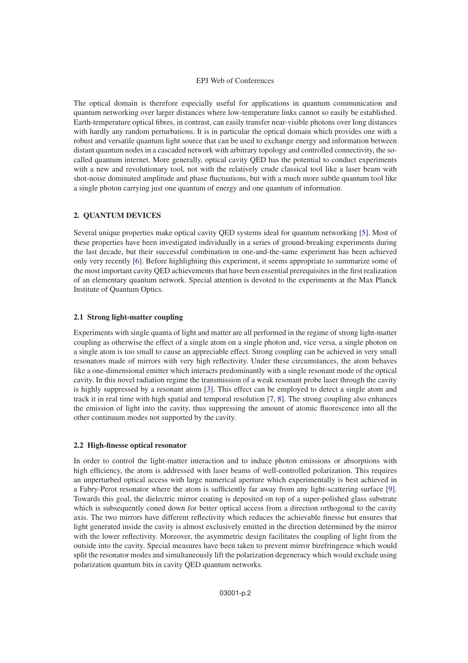### EPJ Web of Conferences

The optical domain is therefore especially useful for applications in quantum communication and quantum networking over larger distances where low-temperature links cannot so easily be established. Earth-temperature optical fibres, in contrast, can easily transfer near-visible photons over long distances with hardly any random perturbations. It is in particular the optical domain which provides one with a robust and versatile quantum light source that can be used to exchange energy and information between distant quantum nodes in a cascaded network with arbitrary topology and controlled connectivity, the socalled quantum internet. More generally, optical cavity QED has the potential to conduct experiments with a new and revolutionary tool, not with the relatively crude classical tool like a laser beam with shot-noise dominated amplitude and phase fluctuations, but with a much more subtle quantum tool like a single photon carrying just one quantum of energy and one quantum of information.

# **2. QUANTUM DEVICES**

Several unique properties make optical cavity QED systems ideal for quantum networking [\[5\]](#page-6-4). Most of these properties have been investigated individually in a series of ground-breaking experiments during the last decade, but their successful combination in one-and-the-same experiment has been achieved only very recently [\[6](#page-6-5)]. Before highlighting this experiment, it seems appropriate to summarize some of the most important cavity QED achievements that have been essential prerequisites in the first realization of an elementary quantum network. Special attention is devoted to the experiments at the Max Planck Institute of Quantum Optics.

# **2.1 Strong light-matter coupling**

Experiments with single quanta of light and matter are all performed in the regime of strong light-matter coupling as otherwise the effect of a single atom on a single photon and, vice versa, a single photon on a single atom is too small to cause an appreciable effect. Strong coupling can be achieved in very small resonators made of mirrors with very high reflectivity. Under these circumstances, the atom behaves like a one-dimensional emitter which interacts predominantly with a single resonant mode of the optical cavity. In this novel radiation regime the transmission of a weak resonant probe laser through the cavity is highly suppressed by a resonant atom [\[3\]](#page-6-2). This effect can be employed to detect a single atom and track it in real time with high spatial and temporal resolution [\[7,](#page-6-6) [8\]](#page-6-7). The strong coupling also enhances the emission of light into the cavity, thus suppressing the amount of atomic fluorescence into all the other continuum modes not supported by the cavity.

### **2.2 High-finesse optical resonator**

In order to control the light-matter interaction and to induce photon emissions or absorptions with high efficiency, the atom is addressed with laser beams of well-controlled polarization. This requires an unperturbed optical access with large numerical aperture which experimentally is best achieved in a Fabry-Perot resonator where the atom is sufficiently far away from any light-scattering surface [\[9\]](#page-6-8). Towards this goal, the dielectric mirror coating is deposited on top of a super-polished glass substrate which is subsequently coned down for better optical access from a direction orthogonal to the cavity axis. The two mirrors have different reflectivity which reduces the achievable finesse but ensures that light generated inside the cavity is almost exclusively emitted in the direction determined by the mirror with the lower reflectivity. Moreover, the asymmetric design facilitates the coupling of light from the outside into the cavity. Special measures have been taken to prevent mirror birefringence which would split the resonator modes and simultaneously lift the polarization degeneracy which would exclude using polarization quantum bits in cavity QED quantum networks.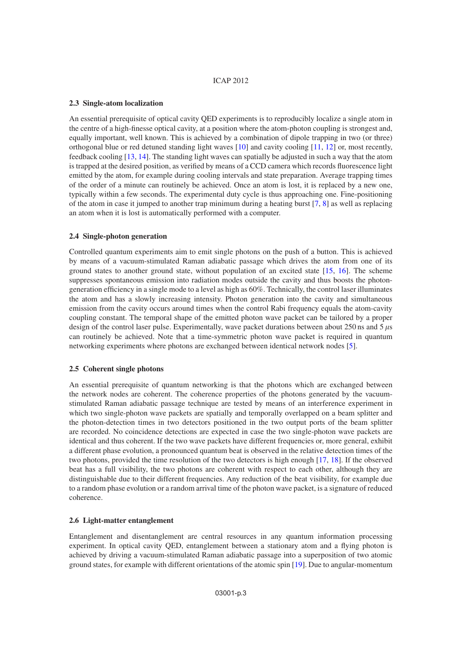## ICAP 2012

### **2.3 Single-atom localization**

An essential prerequisite of optical cavity QED experiments is to reproducibly localize a single atom in the centre of a high-finesse optical cavity, at a position where the atom-photon coupling is strongest and, equally important, well known. This is achieved by a combination of dipole trapping in two (or three) orthogonal blue or red detuned standing light waves [\[10\]](#page-6-9) and cavity cooling [\[11,](#page-6-10) [12\]](#page-6-11) or, most recently, feedback cooling [\[13](#page-6-12), [14\]](#page-6-13). The standing light waves can spatially be adjusted in such a way that the atom is trapped at the desired position, as verified by means of a CCD camera which records fluorescence light emitted by the atom, for example during cooling intervals and state preparation. Average trapping times of the order of a minute can routinely be achieved. Once an atom is lost, it is replaced by a new one, typically within a few seconds. The experimental duty cycle is thus approaching one. Fine-positioning of the atom in case it jumped to another trap minimum during a heating burst [\[7](#page-6-6), [8](#page-6-7)] as well as replacing an atom when it is lost is automatically performed with a computer.

### **2.4 Single-photon generation**

Controlled quantum experiments aim to emit single photons on the push of a button. This is achieved by means of a vacuum-stimulated Raman adiabatic passage which drives the atom from one of its ground states to another ground state, without population of an excited state [\[15](#page-6-14), [16\]](#page-6-15). The scheme suppresses spontaneous emission into radiation modes outside the cavity and thus boosts the photongeneration efficiency in a single mode to a level as high as 60%. Technically, the control laser illuminates the atom and has a slowly increasing intensity. Photon generation into the cavity and simultaneous emission from the cavity occurs around times when the control Rabi frequency equals the atom-cavity coupling constant. The temporal shape of the emitted photon wave packet can be tailored by a proper design of the control laser pulse. Experimentally, wave packet durations between about 250 ns and 5  $\mu$ s can routinely be achieved. Note that a time-symmetric photon wave packet is required in quantum networking experiments where photons are exchanged between identical network nodes [\[5\]](#page-6-4).

### **2.5 Coherent single photons**

An essential prerequisite of quantum networking is that the photons which are exchanged between the network nodes are coherent. The coherence properties of the photons generated by the vacuumstimulated Raman adiabatic passage technique are tested by means of an interference experiment in which two single-photon wave packets are spatially and temporally overlapped on a beam splitter and the photon-detection times in two detectors positioned in the two output ports of the beam splitter are recorded. No coincidence detections are expected in case the two single-photon wave packets are identical and thus coherent. If the two wave packets have different frequencies or, more general, exhibit a different phase evolution, a pronounced quantum beat is observed in the relative detection times of the two photons, provided the time resolution of the two detectors is high enough [\[17](#page-6-16), [18](#page-6-17)]. If the observed beat has a full visibility, the two photons are coherent with respect to each other, although they are distinguishable due to their different frequencies. Any reduction of the beat visibility, for example due to a random phase evolution or a random arrival time of the photon wave packet, is a signature of reduced coherence.

#### **2.6 Light-matter entanglement**

Entanglement and disentanglement are central resources in any quantum information processing experiment. In optical cavity QED, entanglement between a stationary atom and a flying photon is achieved by driving a vacuum-stimulated Raman adiabatic passage into a superposition of two atomic ground states, for example with different orientations of the atomic spin [\[19](#page-6-18)]. Due to angular-momentum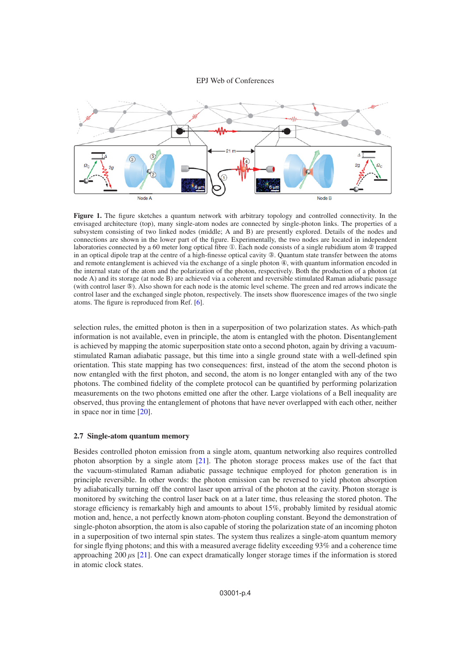#### EPJ Web of Conferences



Figure 1. The figure sketches a quantum network with arbitrary topology and controlled connectivity. In the envisaged architecture (top), many single-atom nodes are connected by single-photon links. The properties of a subsystem consisting of two linked nodes (middle; A and B) are presently explored. Details of the nodes and connections are shown in the lower part of the figure. Experimentally, the two nodes are located in independent laboratories connected by a 60 meter long optical fibre ①. Each node consists of a single rubidium atom ② trapped in an optical dipole trap at the centre of a high-finesse optical cavity ③. Quantum state transfer between the atoms and remote entanglement is achieved via the exchange of a single photon ④, with quantum information encoded in the internal state of the atom and the polarization of the photon, respectively. Both the production of a photon (at node A) and its storage (at node B) are achieved via a coherent and reversible stimulated Raman adiabatic passage (with control laser ⑤). Also shown for each node is the atomic level scheme. The green and red arrows indicate the control laser and the exchanged single photon, respectively. The insets show fluorescence images of the two single atoms. The figure is reproduced from Ref. [\[6](#page-6-5)].

selection rules, the emitted photon is then in a superposition of two polarization states. As which-path information is not available, even in principle, the atom is entangled with the photon. Disentanglement is achieved by mapping the atomic superposition state onto a second photon, again by driving a vacuumstimulated Raman adiabatic passage, but this time into a single ground state with a well-defined spin orientation. This state mapping has two consequences: first, instead of the atom the second photon is now entangled with the first photon, and second, the atom is no longer entangled with any of the two photons. The combined fidelity of the complete protocol can be quantified by performing polarization measurements on the two photons emitted one after the other. Large violations of a Bell inequality are observed, thus proving the entanglement of photons that have never overlapped with each other, neither in space nor in time [\[20\]](#page-6-19).

# **2.7 Single-atom quantum memory**

Besides controlled photon emission from a single atom, quantum networking also requires controlled photon absorption by a single atom [\[21](#page-6-20)]. The photon storage process makes use of the fact that the vacuum-stimulated Raman adiabatic passage technique employed for photon generation is in principle reversible. In other words: the photon emission can be reversed to yield photon absorption by adiabatically turning off the control laser upon arrival of the photon at the cavity. Photon storage is monitored by switching the control laser back on at a later time, thus releasing the stored photon. The storage efficiency is remarkably high and amounts to about 15%, probably limited by residual atomic motion and, hence, a not perfectly known atom-photon coupling constant. Beyond the demonstration of single-photon absorption, the atom is also capable of storing the polarization state of an incoming photon in a superposition of two internal spin states. The system thus realizes a single-atom quantum memory for single flying photons; and this with a measured average fidelity exceeding 93% and a coherence time approaching  $200 \mu s$  [\[21\]](#page-6-20). One can expect dramatically longer storage times if the information is stored in atomic clock states.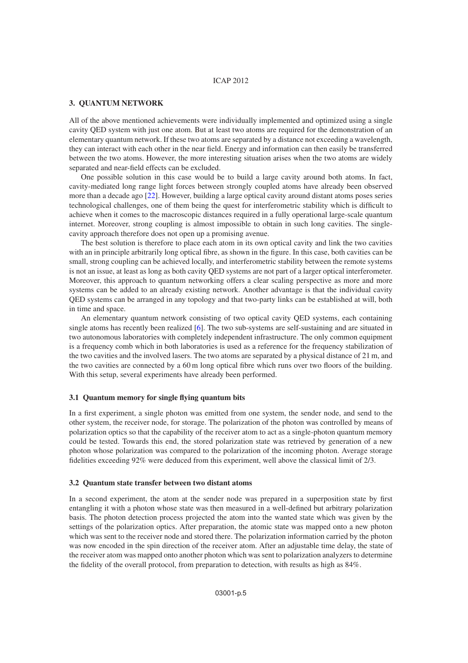#### ICAP 2012

### **3. QUANTUM NETWORK**

All of the above mentioned achievements were individually implemented and optimized using a single cavity QED system with just one atom. But at least two atoms are required for the demonstration of an elementary quantum network. If these two atoms are separated by a distance not exceeding a wavelength, they can interact with each other in the near field. Energy and information can then easily be transferred between the two atoms. However, the more interesting situation arises when the two atoms are widely separated and near-field effects can be excluded.

One possible solution in this case would be to build a large cavity around both atoms. In fact, cavity-mediated long range light forces between strongly coupled atoms have already been observed more than a decade ago [\[22](#page-6-21)]. However, building a large optical cavity around distant atoms poses series technological challenges, one of them being the quest for interferometric stability which is difficult to achieve when it comes to the macroscopic distances required in a fully operational large-scale quantum internet. Moreover, strong coupling is almost impossible to obtain in such long cavities. The singlecavity approach therefore does not open up a promising avenue.

The best solution is therefore to place each atom in its own optical cavity and link the two cavities with an in principle arbitrarily long optical fibre, as shown in the figure. In this case, both cavities can be small, strong coupling can be achieved locally, and interferometric stability between the remote systems is not an issue, at least as long as both cavity QED systems are not part of a larger optical interferometer. Moreover, this approach to quantum networking offers a clear scaling perspective as more and more systems can be added to an already existing network. Another advantage is that the individual cavity QED systems can be arranged in any topology and that two-party links can be established at will, both in time and space.

An elementary quantum network consisting of two optical cavity QED systems, each containing single atoms has recently been realized [\[6](#page-6-5)]. The two sub-systems are self-sustaining and are situated in two autonomous laboratories with completely independent infrastructure. The only common equipment is a frequency comb which in both laboratories is used as a reference for the frequency stabilization of the two cavities and the involved lasers. The two atoms are separated by a physical distance of 21 m, and the two cavities are connected by a 60 m long optical fibre which runs over two floors of the building. With this setup, several experiments have already been performed.

### **3.1 Quantum memory for single flying quantum bits**

In a first experiment, a single photon was emitted from one system, the sender node, and send to the other system, the receiver node, for storage. The polarization of the photon was controlled by means of polarization optics so that the capability of the receiver atom to act as a single-photon quantum memory could be tested. Towards this end, the stored polarization state was retrieved by generation of a new photon whose polarization was compared to the polarization of the incoming photon. Average storage fidelities exceeding 92% were deduced from this experiment, well above the classical limit of 2/3.

#### **3.2 Quantum state transfer between two distant atoms**

In a second experiment, the atom at the sender node was prepared in a superposition state by first entangling it with a photon whose state was then measured in a well-defined but arbitrary polarization basis. The photon detection process projected the atom into the wanted state which was given by the settings of the polarization optics. After preparation, the atomic state was mapped onto a new photon which was sent to the receiver node and stored there. The polarization information carried by the photon was now encoded in the spin direction of the receiver atom. After an adjustable time delay, the state of the receiver atom was mapped onto another photon which was sent to polarization analyzers to determine the fidelity of the overall protocol, from preparation to detection, with results as high as 84%.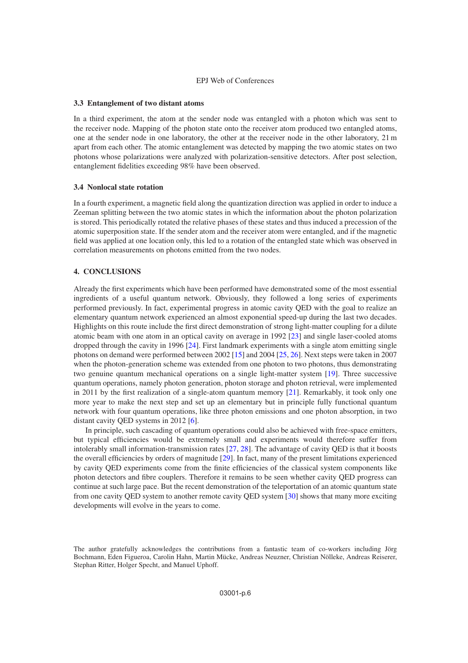### EPJ Web of Conferences

#### **3.3 Entanglement of two distant atoms**

In a third experiment, the atom at the sender node was entangled with a photon which was sent to the receiver node. Mapping of the photon state onto the receiver atom produced two entangled atoms, one at the sender node in one laboratory, the other at the receiver node in the other laboratory, 21 m apart from each other. The atomic entanglement was detected by mapping the two atomic states on two photons whose polarizations were analyzed with polarization-sensitive detectors. After post selection, entanglement fidelities exceeding 98% have been observed.

### **3.4 Nonlocal state rotation**

In a fourth experiment, a magnetic field along the quantization direction was applied in order to induce a Zeeman splitting between the two atomic states in which the information about the photon polarization is stored. This periodically rotated the relative phases of these states and thus induced a precession of the atomic superposition state. If the sender atom and the receiver atom were entangled, and if the magnetic field was applied at one location only, this led to a rotation of the entangled state which was observed in correlation measurements on photons emitted from the two nodes.

# **4. CONCLUSIONS**

Already the first experiments which have been performed have demonstrated some of the most essential ingredients of a useful quantum network. Obviously, they followed a long series of experiments performed previously. In fact, experimental progress in atomic cavity QED with the goal to realize an elementary quantum network experienced an almost exponential speed-up during the last two decades. Highlights on this route include the first direct demonstration of strong light-matter coupling for a dilute atomic beam with one atom in an optical cavity on average in 1992 [\[23\]](#page-6-22) and single laser-cooled atoms dropped through the cavity in 1996 [\[24](#page-6-23)]. First landmark experiments with a single atom emitting single photons on demand were performed between 2002 [\[15\]](#page-6-14) and 2004 [\[25,](#page-6-24) [26](#page-6-25)]. Next steps were taken in 2007 when the photon-generation scheme was extended from one photon to two photons, thus demonstrating two genuine quantum mechanical operations on a single light-matter system [\[19](#page-6-18)]. Three successive quantum operations, namely photon generation, photon storage and photon retrieval, were implemented in 2011 by the first realization of a single-atom quantum memory [\[21](#page-6-20)]. Remarkably, it took only one more year to make the next step and set up an elementary but in principle fully functional quantum network with four quantum operations, like three photon emissions and one photon absorption, in two distant cavity QED systems in 2012 [\[6](#page-6-5)].

In principle, such cascading of quantum operations could also be achieved with free-space emitters, but typical efficiencies would be extremely small and experiments would therefore suffer from intolerably small information-transmission rates [\[27,](#page-6-26) [28\]](#page-6-27). The advantage of cavity QED is that it boosts the overall efficiencies by orders of magnitude [\[29\]](#page-6-28). In fact, many of the present limitations experienced by cavity QED experiments come from the finite efficiencies of the classical system components like photon detectors and fibre couplers. Therefore it remains to be seen whether cavity QED progress can continue at such large pace. But the recent demonstration of the teleportation of an atomic quantum state from one cavity QED system to another remote cavity QED system [\[30\]](#page-6-29) shows that many more exciting developments will evolve in the years to come.

The author gratefully acknowledges the contributions from a fantastic team of co-workers including Jörg Bochmann, Eden Figueroa, Carolin Hahn, Martin Mücke, Andreas Neuzner, Christian Nölleke, Andreas Reiserer, Stephan Ritter, Holger Specht, and Manuel Uphoff.